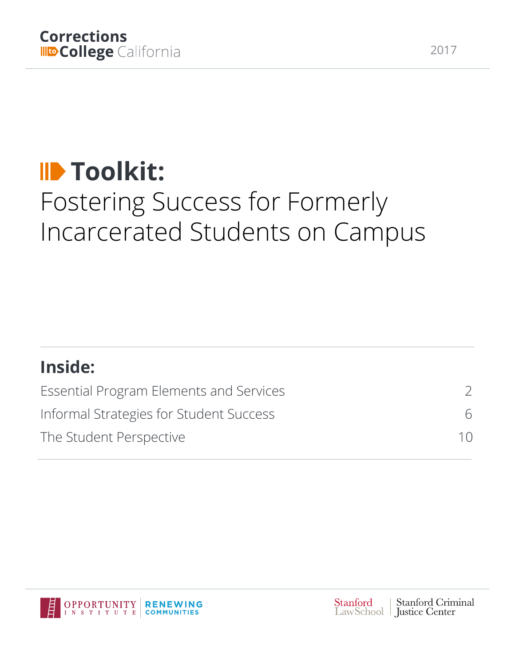## **ID** Toolkit: Fostering Success for Formerly Incarcerated Students on Campus

| <b>Inside:</b>                          |    |
|-----------------------------------------|----|
| Essential Program Elements and Services |    |
| Informal Strategies for Student Success | 6  |
| The Student Perspective                 | 10 |

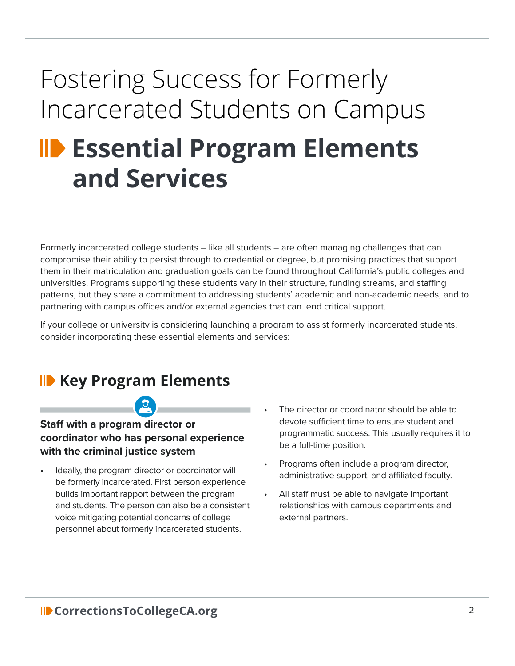## Fostering Success for Formerly Incarcerated Students on Campus **ID Essential Program Elements and Services**

Formerly incarcerated college students – like all students – are often managing challenges that can compromise their ability to persist through to credential or degree, but promising practices that support them in their matriculation and graduation goals can be found throughout California's public colleges and universities. Programs supporting these students vary in their structure, funding streams, and staffing patterns, but they share a commitment to addressing students' academic and non-academic needs, and to partnering with campus offices and/or external agencies that can lend critical support.

If your college or university is considering launching a program to assist formerly incarcerated students, consider incorporating these essential elements and services:

### **ID Key Program Elements**

#### **Staff with a program director or coordinator who has personal experience with the criminal justice system**

- Ideally, the program director or coordinator will be formerly incarcerated. First person experience builds important rapport between the program and students. The person can also be a consistent voice mitigating potential concerns of college personnel about formerly incarcerated students.
- The director or coordinator should be able to devote sufficient time to ensure student and programmatic success. This usually requires it to be a full-time position.
- Programs often include a program director, administrative support, and affiliated faculty.
- All staff must be able to navigate important relationships with campus departments and external partners.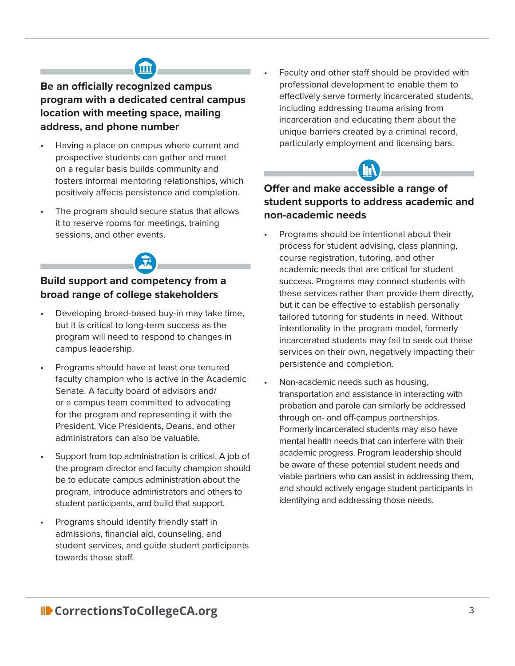**Be an officially recognized campus program with a dedicated central campus location with meeting space, mailing address, and phone number**

- Having a place on campus where current and prospective students can gather and meet on a regular basis builds community and fosters informal mentoring relationships, which positively affects persistence and completion.
- The program should secure status that allows it to reserve rooms for meetings, training sessions, and other events.



#### **Build support and competency from a broad range of college stakeholders**

- Developing broad-based buy-in may take time, but it is critical to long-term success as the program will need to respond to changes in campus leadership.
- Programs should have at least one tenured faculty champion who is active in the Academic Senate. A faculty board of advisors and/ or a campus team committed to advocating for the program and representing it with the President, Vice Presidents, Deans, and other administrators can also be valuable.
- Support from top administration is critical. A job of the program director and faculty champion should be to educate campus administration about the program, introduce administrators and others to student participants, and build that support.
- Programs should identify friendly staff in admissions, financial aid, counseling, and student services, and guide student participants towards those staff.

Faculty and other staff should be provided with professional development to enable them to effectively serve formerly incarcerated students, including addressing trauma arising from incarceration and educating them about the unique barriers created by a criminal record, particularly employment and licensing bars.

### **Offer and make accessible a range of student supports to address academic and non-academic needs**

- Programs should be intentional about their process for student advising, class planning, course registration, tutoring, and other academic needs that are critical for student success. Programs may connect students with these services rather than provide them directly, but it can be effective to establish personally tailored tutoring for students in need. Without intentionality in the program model, formerly incarcerated students may fail to seek out these services on their own, negatively impacting their persistence and completion.
- Non-academic needs such as housing, transportation and assistance in interacting with probation and parole can similarly be addressed through on- and off-campus partnerships. Formerly incarcerated students may also have mental health needs that can interfere with their academic progress. Program leadership should be aware of these potential student needs and viable partners who can assist in addressing them, and should actively engage student participants in identifying and addressing those needs.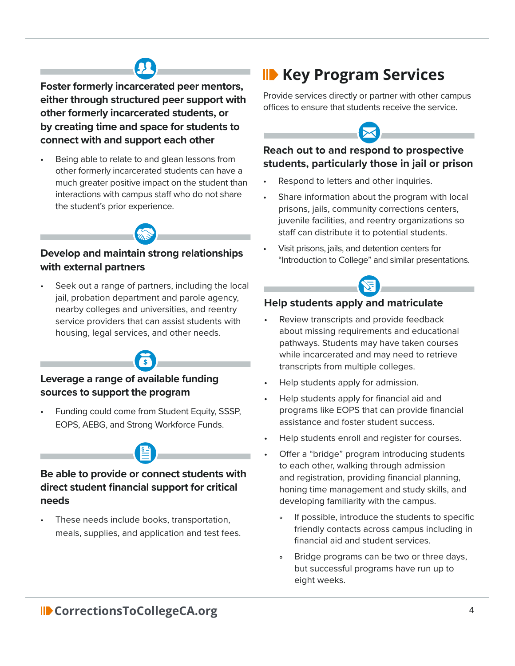### **Foster formerly incarcerated peer mentors, either through structured peer support with other formerly incarcerated students, or by creating time and space for students to connect with and support each other**

Being able to relate to and glean lessons from other formerly incarcerated students can have a much greater positive impact on the student than interactions with campus staff who do not share the student's prior experience.



#### **Develop and maintain strong relationships with external partners**

Seek out a range of partners, including the local jail, probation department and parole agency, nearby colleges and universities, and reentry service providers that can assist students with housing, legal services, and other needs.

#### **Leverage a range of available funding sources to support the program**

• Funding could come from Student Equity, SSSP, EOPS, AEBG, and Strong Workforce Funds.

### **Be able to provide or connect students with direct student financial support for critical needs**

• These needs include books, transportation, meals, supplies, and application and test fees.

### **ID Key Program Services**

Provide services directly or partner with other campus offices to ensure that students receive the service.



- Respond to letters and other inquiries.
- Share information about the program with local prisons, jails, community corrections centers, juvenile facilities, and reentry organizations so staff can distribute it to potential students.
- Visit prisons, jails, and detention centers for "Introduction to College" and similar presentations.

#### **Help students apply and matriculate**

- Review transcripts and provide feedback about missing requirements and educational pathways. Students may have taken courses while incarcerated and may need to retrieve transcripts from multiple colleges.
- Help students apply for admission.
- Help students apply for financial aid and programs like EOPS that can provide financial assistance and foster student success.
- Help students enroll and register for courses.
- Offer a "bridge" program introducing students to each other, walking through admission and registration, providing financial planning, honing time management and study skills, and developing familiarity with the campus.
	- $\circ$ If possible, introduce the students to specific friendly contacts across campus including in financial aid and student services.
	- Bridge programs can be two or three days, but successful programs have run up to eight weeks.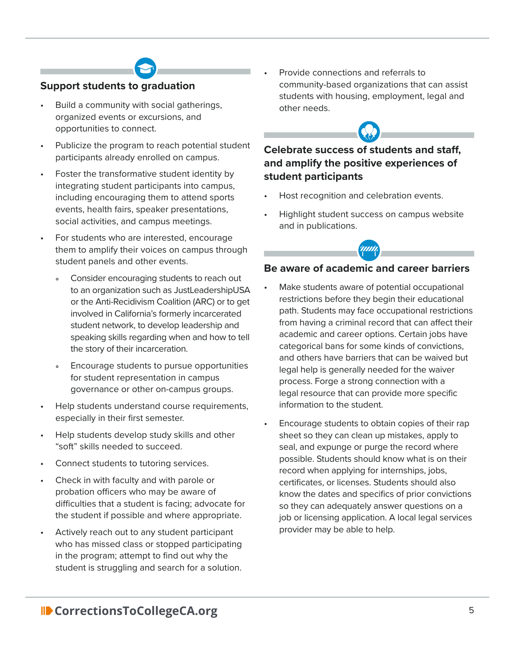

#### **Support students to graduation**

- Build a community with social gatherings, organized events or excursions, and opportunities to connect.
- Publicize the program to reach potential student participants already enrolled on campus.
- Foster the transformative student identity by integrating student participants into campus, including encouraging them to attend sports events, health fairs, speaker presentations, social activities, and campus meetings.
- For students who are interested, encourage them to amplify their voices on campus through student panels and other events.
	- Consider encouraging students to reach out to an organization such as JustLeadershipUSA or the Anti-Recidivism Coalition (ARC) or to get involved in California's formerly incarcerated student network, to develop leadership and speaking skills regarding when and how to tell the story of their incarceration.
	- Encourage students to pursue opportunities for student representation in campus governance or other on-campus groups.
- Help students understand course requirements, especially in their first semester.
- Help students develop study skills and other "soft" skills needed to succeed.
- Connect students to tutoring services.
- Check in with faculty and with parole or probation officers who may be aware of difficulties that a student is facing; advocate for the student if possible and where appropriate.
- Actively reach out to any student participant who has missed class or stopped participating in the program; attempt to find out why the student is struggling and search for a solution.

• Provide connections and referrals to community-based organizations that can assist students with housing, employment, legal and other needs.

**Celebrate success of students and staff, and amplify the positive experiences of student participants**

- Host recognition and celebration events.
- Highlight student success on campus website and in publications.

#### **Be aware of academic and career barriers**

- Make students aware of potential occupational restrictions before they begin their educational path. Students may face occupational restrictions from having a criminal record that can affect their academic and career options. Certain jobs have categorical bans for some kinds of convictions, and others have barriers that can be waived but legal help is generally needed for the waiver process. Forge a strong connection with a legal resource that can provide more specific information to the student.
	- Encourage students to obtain copies of their rap sheet so they can clean up mistakes, apply to seal, and expunge or purge the record where possible. Students should know what is on their record when applying for internships, jobs, certificates, or licenses. Students should also know the dates and specifics of prior convictions so they can adequately answer questions on a job or licensing application. A local legal services provider may be able to help.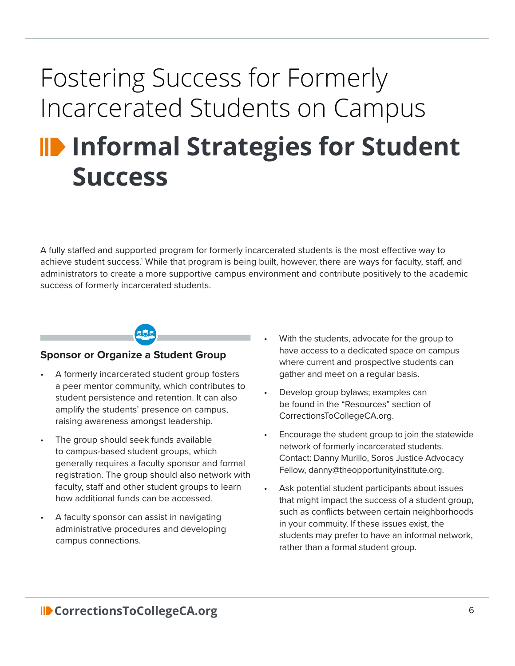## Fostering Success for Formerly Incarcerated Students on Campus  **Informal Strategies for Student Success**

A fully staffed and supported program for formerly incarcerated students is the most effective way to achieve student success.<sup>1</sup> While that program is being built, however, there are ways for faculty, staff, and administrators to create a more supportive campus environment and contribute positively to the academic success of formerly incarcerated students.



#### **Sponsor or Organize a Student Group**

- A formerly incarcerated student group fosters a peer mentor community, which contributes to student persistence and retention. It can also amplify the students' presence on campus, raising awareness amongst leadership.
- The group should seek funds available to campus-based student groups, which generally requires a faculty sponsor and formal registration. The group should also network with faculty, staff and other student groups to learn how additional funds can be accessed.
- A faculty sponsor can assist in navigating administrative procedures and developing campus connections.
- With the students, advocate for the group to have access to a dedicated space on campus where current and prospective students can gather and meet on a regular basis.
- Develop group bylaws; examples can be found in the "Resources" section of CorrectionsToCollegeCA.org.
- Encourage the student group to join the statewide network of formerly incarcerated students. Contact: Danny Murillo, Soros Justice Advocacy Fellow, danny@theopportunityinstitute.org.
- Ask potential student participants about issues that might impact the success of a student group, such as conflicts between certain neighborhoods in your commuity. If these issues exist, the students may prefer to have an informal network, rather than a formal student group.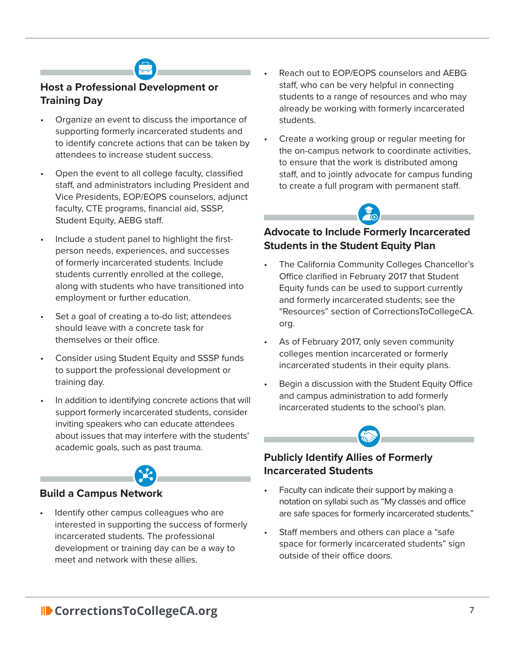

#### **Host a Professional Development or Training Day**

- Organize an event to discuss the importance of supporting formerly incarcerated students and to identify concrete actions that can be taken by attendees to increase student success.
- Open the event to all college faculty, classified staff, and administrators including President and Vice Presidents, EOP/EOPS counselors, adjunct faculty, CTE programs, financial aid, SSSP, Student Equity, AEBG staff.
- Include a student panel to highlight the firstperson needs, experiences, and successes of formerly incarcerated students. Include students currently enrolled at the college, along with students who have transitioned into employment or further education.
- Set a goal of creating a to-do list; attendees should leave with a concrete task for themselves or their office.
- Consider using Student Equity and SSSP funds to support the professional development or training day.
- In addition to identifying concrete actions that will support formerly incarcerated students, consider inviting speakers who can educate attendees about issues that may interfere with the students' academic goals, such as past trauma.



#### **Build a Campus Network**

Identify other campus colleagues who are interested in supporting the success of formerly incarcerated students. The professional development or training day can be a way to meet and network with these allies.

- Reach out to EOP/EOPS counselors and AEBG staff, who can be very helpful in connecting students to a range of resources and who may already be working with formerly incarcerated students.
- Create a working group or regular meeting for the on-campus network to coordinate activities, to ensure that the work is distributed among staff, and to jointly advocate for campus funding to create a full program with permanent staff.



#### **Advocate to Include Formerly Incarcerated Students in the Student Equity Plan**

- The California Community Colleges Chancellor's Office clarified in February 2017 that Student Equity funds can be used to support currently and formerly incarcerated students; see the "Resources" section of CorrectionsToCollegeCA. org.
- As of February 2017, only seven community colleges mention incarcerated or formerly incarcerated students in their equity plans.
- Begin a discussion with the Student Equity Office and campus administration to add formerly incarcerated students to the school's plan.



#### **Publicly Identify Allies of Formerly Incarcerated Students**

- Faculty can indicate their support by making a notation on syllabi such as "My classes and office are safe spaces for formerly incarcerated students."
- Staff members and others can place a "safe space for formerly incarcerated students" sign outside of their office doors.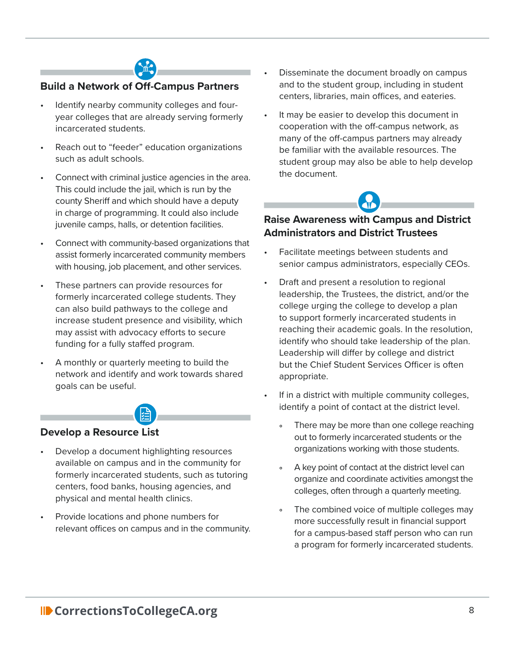

#### **Build a Network of Off-Campus Partners**

- Identify nearby community colleges and fouryear colleges that are already serving formerly incarcerated students.
- Reach out to "feeder" education organizations such as adult schools.
- Connect with criminal justice agencies in the area. This could include the jail, which is run by the county Sheriff and which should have a deputy in charge of programming. It could also include juvenile camps, halls, or detention facilities.
- Connect with community-based organizations that assist formerly incarcerated community members with housing, job placement, and other services.
- These partners can provide resources for formerly incarcerated college students. They can also build pathways to the college and increase student presence and visibility, which may assist with advocacy efforts to secure funding for a fully staffed program.
- A monthly or quarterly meeting to build the network and identify and work towards shared goals can be useful.



#### **Develop a Resource List**

- Develop a document highlighting resources available on campus and in the community for formerly incarcerated students, such as tutoring centers, food banks, housing agencies, and physical and mental health clinics.
- Provide locations and phone numbers for relevant offices on campus and in the community.
- Disseminate the document broadly on campus and to the student group, including in student centers, libraries, main offices, and eateries.
- It may be easier to develop this document in cooperation with the off-campus network, as many of the off-campus partners may already be familiar with the available resources. The student group may also be able to help develop the document.



#### **Raise Awareness with Campus and District Administrators and District Trustees**

- Facilitate meetings between students and senior campus administrators, especially CEOs.
- Draft and present a resolution to regional leadership, the Trustees, the district, and/or the college urging the college to develop a plan to support formerly incarcerated students in reaching their academic goals. In the resolution, identify who should take leadership of the plan. Leadership will differ by college and district but the Chief Student Services Officer is often appropriate.
- If in a district with multiple community colleges, identify a point of contact at the district level.
	- There may be more than one college reaching  $\circ$ out to formerly incarcerated students or the organizations working with those students.
	- A key point of contact at the district level can  $\circ$ organize and coordinate activities amongst the colleges, often through a quarterly meeting.
	- The combined voice of multiple colleges may  $\circ$ more successfully result in financial support for a campus-based staff person who can run a program for formerly incarcerated students.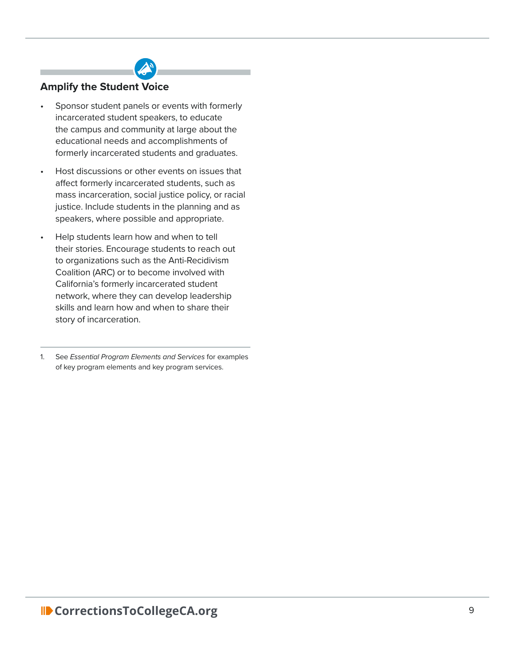

#### **Amplify the Student Voice**

- Sponsor student panels or events with formerly incarcerated student speakers, to educate the campus and community at large about the educational needs and accomplishments of formerly incarcerated students and graduates.
- Host discussions or other events on issues that affect formerly incarcerated students, such as mass incarceration, social justice policy, or racial justice. Include students in the planning and as speakers, where possible and appropriate.
- Help students learn how and when to tell their stories. Encourage students to reach out to organizations such as the Anti-Recidivism Coalition (ARC) or to become involved with California's formerly incarcerated student network, where they can develop leadership skills and learn how and when to share their story of incarceration.
- 1. See *Essential Program Elements and Services* for examples of key program elements and key program services.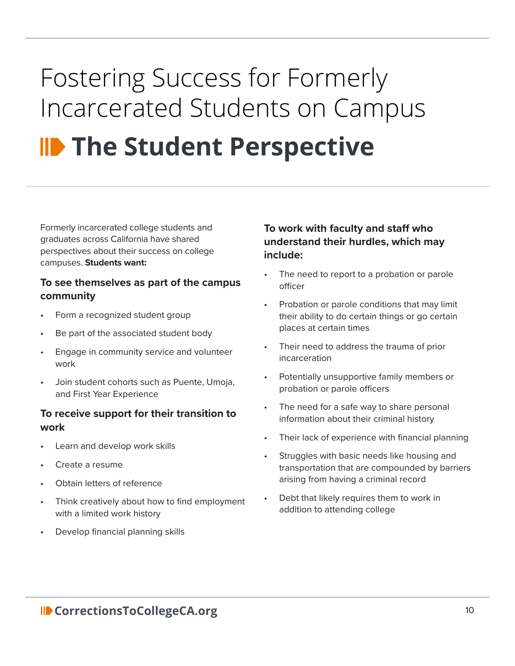# Fostering Success for Formerly Incarcerated Students on Campus **ID** The Student Perspective

Formerly incarcerated college students and graduates across California have shared perspectives about their success on college campuses. **Students want:**

#### **To see themselves as part of the campus community**

- Form a recognized student group
- Be part of the associated student body
- Engage in community service and volunteer work
- Join student cohorts such as Puente, Umoja, and First Year Experience

#### **To receive support for their transition to work**

- Learn and develop work skills
- Create a resume
- Obtain letters of reference
- Think creatively about how to find employment with a limited work history
- Develop financial planning skills

#### **To work with faculty and staff who understand their hurdles, which may include:**

- The need to report to a probation or parole officer
- Probation or parole conditions that may limit their ability to do certain things or go certain places at certain times
- Their need to address the trauma of prior incarceration
- Potentially unsupportive family members or probation or parole officers
- The need for a safe way to share personal information about their criminal history
- Their lack of experience with financial planning
- Struggles with basic needs like housing and transportation that are compounded by barriers arising from having a criminal record
- Debt that likely requires them to work in addition to attending college